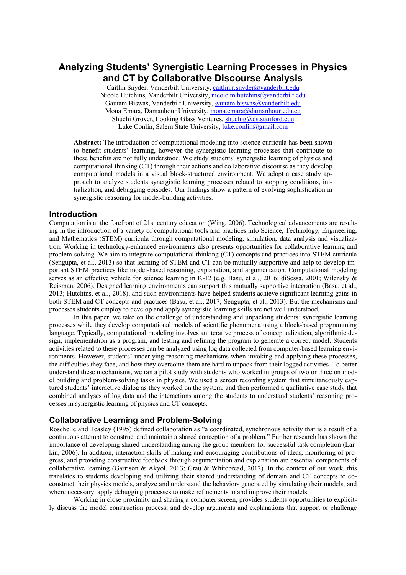# **Analyzing Students' Synergistic Learning Processes in Physics and CT by Collaborative Discourse Analysis**

Caitlin Snyder, Vanderbilt University, caitlin.r.snyder@vanderbilt.edu Nicole Hutchins, Vanderbilt University, nicole.m.hutchins@vanderbilt.edu Gautam Biswas, Vanderbilt University, gautam.biswas@vanderbilt.edu Mona Emara, Damanhour University, mona.emara@damanhour.edu.eg Shuchi Grover, Looking Glass Ventures, shuchig@cs.stanford.edu Luke Conlin, Salem State University, luke.conlin@gmail.com

**Abstract:** The introduction of computational modeling into science curricula has been shown to benefit students' learning, however the synergistic learning processes that contribute to these benefits are not fully understood. We study students' synergistic learning of physics and computational thinking (CT) through their actions and collaborative discourse as they develop computational models in a visual block-structured environment. We adopt a case study approach to analyze students synergistic learning processes related to stopping conditions, initialization, and debugging episodes. Our findings show a pattern of evolving sophistication in synergistic reasoning for model-building activities.

### **Introduction**

Computation is at the forefront of 21st century education (Wing, 2006). Technological advancements are resulting in the introduction of a variety of computational tools and practices into Science, Technology, Engineering, and Mathematics (STEM) curricula through computational modeling, simulation, data analysis and visualization. Working in technology-enhanced environments also presents opportunities for collaborative learning and problem-solving. We aim to integrate computational thinking (CT) concepts and practices into STEM curricula (Sengupta, et al., 2013) so that learning of STEM and CT can be mutually supportive and help to develop important STEM practices like model-based reasoning, explanation, and argumentation. Computational modeling serves as an effective vehicle for science learning in K-12 (e.g. Basu, et al., 2016; diSessa, 2001; Wilensky & Reisman, 2006). Designed learning environments can support this mutually supportive integration (Basu, et al., 2013; Hutchins, et al., 2018), and such environments have helped students achieve significant learning gains in both STEM and CT concepts and practices (Basu, et al., 2017; Sengupta, et al., 2013). But the mechanisms and processes students employ to develop and apply synergistic learning skills are not well understood.

In this paper, we take on the challenge of understanding and unpacking students' synergistic learning processes while they develop computational models of scientific phenomena using a block-based programming language. Typically, computational modeling involves an iterative process of conceptualization, algorithmic design, implementation as a program, and testing and refining the program to generate a correct model. Students activities related to these processes can be analyzed using log data collected from computer-based learning environments. However, students' underlying reasoning mechanisms when invoking and applying these processes, the difficulties they face, and how they overcome them are hard to unpack from their logged activities. To better understand these mechanisms, we ran a pilot study with students who worked in groups of two or three on model building and problem-solving tasks in physics. We used a screen recording system that simultaneously captured students' interactive dialog as they worked on the system, and then performed a qualitative case study that combined analyses of log data and the interactions among the students to understand students' reasoning processes in synergistic learning of physics and CT concepts.

#### **Collaborative Learning and Problem-Solving**

Roschelle and Teasley (1995) defined collaboration as "a coordinated, synchronous activity that is a result of a continuous attempt to construct and maintain a shared conception of a problem." Further research has shown the importance of developing shared understanding among the group members for successful task completion (Larkin, 2006). In addition, interaction skills of making and encouraging contributions of ideas, monitoring of progress, and providing constructive feedback through argumentation and explanation are essential components of collaborative learning (Garrison & Akyol, 2013; Grau & Whitebread, 2012). In the context of our work, this translates to students developing and utilizing their shared understanding of domain and CT concepts to coconstruct their physics models, analyze and understand the behaviors generated by simulating their models, and where necessary, apply debugging processes to make refinements to and improve their models.

Working in close proximity and sharing a computer screen, provides students opportunities to explicitly discuss the model construction process, and develop arguments and explanations that support or challenge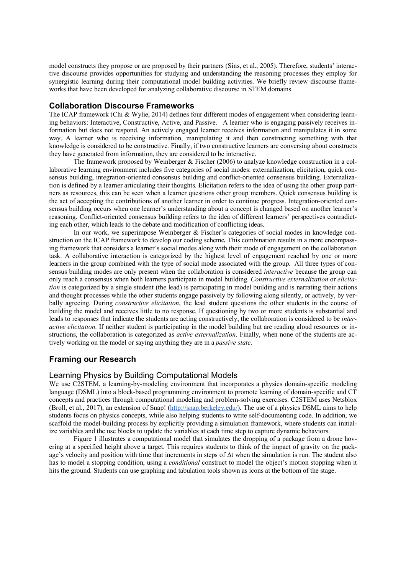model constructs they propose or are proposed by their partners (Sins, et al., 2005). Therefore, students' interactive discourse provides opportunities for studying and understanding the reasoning processes they employ for synergistic learning during their computational model building activities. We briefly review discourse frameworks that have been developed for analyzing collaborative discourse in STEM domains.

### **Collaboration Discourse Frameworks**

The ICAP framework (Chi & Wylie, 2014) defines four different modes of engagement when considering learning behaviors: Interactive, Constructive, Active, and Passive. A learner who is engaging passively receives information but does not respond. An actively engaged learner receives information and manipulates it in some way. A learner who is receiving information, manipulating it and then constructing something with that knowledge is considered to be constructive. Finally, if two constructive learners are conversing about constructs they have generated from information, they are considered to be interactive.

The framework proposed by Weinberger & Fischer (2006) to analyze knowledge construction in a collaborative learning environment includes five categories of social modes: externalization, elicitation, quick consensus building, integration-oriented consensus building and conflict-oriented consensus building. Externalization is defined by a learner articulating their thoughts. Elicitation refers to the idea of using the other group partners as resources, this can be seen when a learner questions other group members. Quick consensus building is the act of accepting the contributions of another learner in order to continue progress. Integration-oriented consensus building occurs when one learner's understanding about a concept is changed based on another learner's reasoning. Conflict-oriented consensus building refers to the idea of different learners' perspectives contradicting each other, which leads to the debate and modification of conflicting ideas.

In our work, we superimpose Weinberger & Fischer's categories of social modes in knowledge construction on the ICAP framework to develop our coding scheme*.* This combination results in a more encompassing framework that considers a learner's social modes along with their mode of engagement on the collaboration task. A collaborative interaction is categorized by the highest level of engagement reached by one or more learners in the group combined with the type of social mode associated with the group. All three types of consensus building modes are only present when the collaboration is considered *interactive* because the group can only reach a consensus when both learners participate in model building. *Constructive externalization* or *elicitation* is categorized by a single student (the lead) is participating in model building and is narrating their actions and thought processes while the other students engage passively by following along silently, or actively, by verbally agreeing. During *constructive elicitation*, the lead student questions the other students in the course of building the model and receives little to no response. If questioning by two or more students is substantial and leads to responses that indicate the students are acting constructively, the collaboration is considered to be *interactive elicitation*. If neither student is participating in the model building but are reading aloud resources or instructions, the collaboration is categorized as *active externalization*. Finally, when none of the students are actively working on the model or saying anything they are in a *passive state*.

## **Framing our Research**

## Learning Physics by Building Computational Models

We use C2STEM, a learning-by-modeling environment that incorporates a physics domain-specific modeling language (DSML) into a block-based programming environment to promote learning of domain-specific and CT concepts and practices through computational modeling and problem-solving exercises. C2STEM uses Netsblox (Broll, et al., 2017), an extension of Snap! (http://snap.berkeley.edu/). The use of a physics DSML aims to help students focus on physics concepts, while also helping students to write self-documenting code. In addition, we scaffold the model-building process by explicitly providing a simulation framework, where students can initialize variables and the use blocks to update the variables at each time step to capture dynamic behaviors.

Figure 1 illustrates a computational model that simulates the dropping of a package from a drone hovering at a specified height above a target. This requires students to think of the impact of gravity on the package's velocity and position with time that increments in steps of Δt when the simulation is run. The student also has to model a stopping condition, using a *conditional* construct to model the object's motion stopping when it hits the ground. Students can use graphing and tabulation tools shown as icons at the bottom of the stage.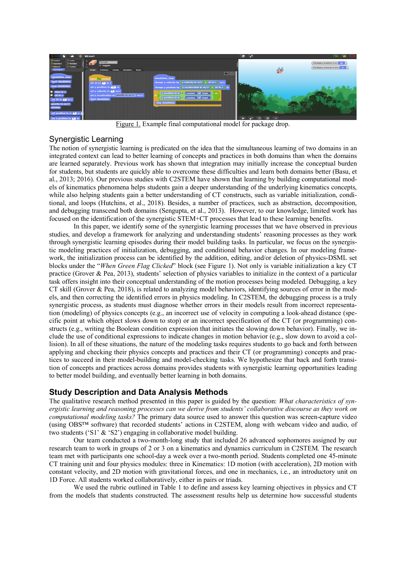

Figure 1. Example final computational model for package drop.

## Synergistic Learning

The notion of synergistic learning is predicated on the idea that the simultaneous learning of two domains in an integrated context can lead to better learning of concepts and practices in both domains than when the domains are learned separately. Previous work has shown that integration may initially increase the conceptual burden for students, but students are quickly able to overcome these difficulties and learn both domains better (Basu, et al., 2013; 2016). Our previous studies with C2STEM have shown that learning by building computational models of kinematics phenomena helps students gain a deeper understanding of the underlying kinematics concepts, while also helping students gain a better understanding of CT constructs, such as variable initialization, conditional, and loops (Hutchins, et al., 2018). Besides, a number of practices, such as abstraction, decomposition, and debugging transcend both domains (Sengupta, et al., 2013). However, to our knowledge, limited work has focused on the identification of the synergistic STEM+CT processes that lead to these learning benefits.

In this paper, we identify some of the synergistic learning processes that we have observed in previous studies, and develop a framework for analyzing and understanding students' reasoning processes as they work through synergistic learning episodes during their model building tasks. In particular, we focus on the synergistic modeling practices of initialization, debugging, and conditional behavior changes. In our modeling framework, the initialization process can be identified by the addition, editing, and/or deletion of physics-DSML set blocks under the "*When Green Flag Clicked*" block (see Figure 1). Not only is variable initialization a key CT practice (Grover & Pea, 2013), students' selection of physics variables to initialize in the context of a particular task offers insight into their conceptual understanding of the motion processes being modeled. Debugging, a key CT skill (Grover & Pea, 2018), is related to analyzing model behaviors, identifying sources of error in the models, and then correcting the identified errors in physics modeling. In C2STEM, the debugging process is a truly synergistic process, as students must diagnose whether errors in their models result from incorrect representation (modeling) of physics concepts (e.g., an incorrect use of velocity in computing a look-ahead distance (specific point at which object slows down to stop) or an incorrect specification of the CT (or programming) constructs (e.g., writing the Boolean condition expression that initiates the slowing down behavior). Finally, we include the use of conditional expressions to indicate changes in motion behavior (e.g., slow down to avoid a collision). In all of these situations, the nature of the modeling tasks requires students to go back and forth between applying and checking their physics concepts and practices and their CT (or programming) concepts and practices to succeed in their model-building and model-checking tasks. We hypothesize that back and forth transition of concepts and practices across domains provides students with synergistic learning opportunities leading to better model building, and eventually better learning in both domains.

## **Study Description and Data Analysis Methods**

The qualitative research method presented in this paper is guided by the question: *What characteristics of synergistic learning and reasoning processes can we derive from students' collaborative discourse as they work on computational modeling tasks?* The primary data source used to answer this question was screen-capture video (using OBS™ software) that recorded students' actions in C2STEM, along with webcam video and audio, of two students ('S1' & 'S2') engaging in collaborative model building.

Our team conducted a two-month-long study that included 26 advanced sophomores assigned by our research team to work in groups of 2 or 3 on a kinematics and dynamics curriculum in C2STEM. The research team met with participants one school-day a week over a two-month period. Students completed one 45-minute CT training unit and four physics modules: three in Kinematics: 1D motion (with acceleration), 2D motion with constant velocity, and 2D motion with gravitational forces, and one in mechanics, i.e., an introductory unit on 1D Force. All students worked collaboratively, either in pairs or triads.

We used the rubric outlined in Table 1 to define and assess key learning objectives in physics and CT from the models that students constructed. The assessment results help us determine how successful students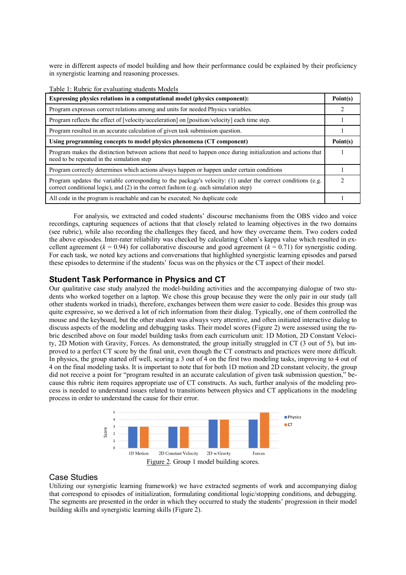were in different aspects of model building and how their performance could be explained by their proficiency in synergistic learning and reasoning processes.

| Table 1: Rubric for evaluating students Models                                                                                                                                                           |                |
|----------------------------------------------------------------------------------------------------------------------------------------------------------------------------------------------------------|----------------|
| Expressing physics relations in a computational model (physics component):                                                                                                                               | Point(s)       |
| Program expresses correct relations among and units for needed Physics variables.                                                                                                                        | 2              |
| Program reflects the effect of [velocity/acceleration] on [position/velocity] each time step.                                                                                                            |                |
| Program resulted in an accurate calculation of given task submission question.                                                                                                                           |                |
| Using programming concepts to model physics phenomena (CT component)                                                                                                                                     | Point(s)       |
| Program makes the distinction between actions that need to happen once during initialization and actions that<br>need to be repeated in the simulation step                                              |                |
| Program correctly determines which actions always happen or happen under certain conditions                                                                                                              |                |
| Program updates the variable corresponding to the package's velocity: $(1)$ under the correct conditions (e.g.<br>correct conditional logic), and (2) in the correct fashion (e.g. each simulation step) | $\mathfrak{D}$ |
| All code in the program is reachable and can be executed. No duplicate code                                                                                                                              |                |

For analysis, we extracted and coded students' discourse mechanisms from the OBS video and voice recordings, capturing sequences of actions that that closely related to learning objectives in the two domains (see rubric), while also recording the challenges they faced, and how they overcame them. Two coders coded the above episodes. Inter-rater reliability was checked by calculating Cohen's kappa value which resulted in excellent agreement ( $k = 0.94$ ) for collaborative discourse and good agreement ( $k = 0.71$ ) for synergistic coding. For each task, we noted key actions and conversations that highlighted synergistic learning episodes and parsed these episodes to determine if the students' focus was on the physics or the CT aspect of their model.

## **Student Task Performance in Physics and CT**

Our qualitative case study analyzed the model-building activities and the accompanying dialogue of two students who worked together on a laptop. We chose this group because they were the only pair in our study (all other students worked in triads), therefore, exchanges between them were easier to code. Besides this group was quite expressive, so we derived a lot of rich information from their dialog. Typically, one of them controlled the mouse and the keyboard, but the other student was always very attentive, and often initiated interactive dialog to discuss aspects of the modeling and debugging tasks. Their model scores (Figure 2) were assessed using the rubric described above on four model building tasks from each curriculum unit: 1D Motion, 2D Constant Velocity, 2D Motion with Gravity, Forces. As demonstrated, the group initially struggled in CT (3 out of 5), but improved to a perfect CT score by the final unit, even though the CT constructs and practices were more difficult. In physics, the group started off well, scoring a 3 out of 4 on the first two modeling tasks, improving to 4 out of 4 on the final modeling tasks. It is important to note that for both 1D motion and 2D constant velocity, the group did not receive a point for "program resulted in an accurate calculation of given task submission question," because this rubric item requires appropriate use of CT constructs. As such, further analysis of the modeling process is needed to understand issues related to transitions between physics and CT applications in the modeling process in order to understand the cause for their error.



## Case Studies

Utilizing our synergistic learning framework) we have extracted segments of work and accompanying dialog that correspond to episodes of initialization, formulating conditional logic/stopping conditions, and debugging. The segments are presented in the order in which they occurred to study the students' progression in their model building skills and synergistic learning skills (Figure 2).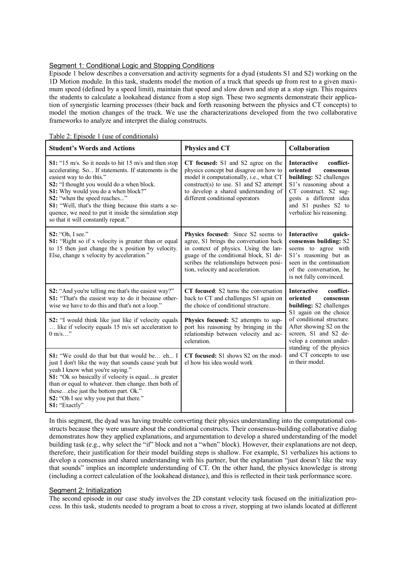#### Segment 1: Conditional Logic and Stopping Conditions

Episode 1 below describes a conversation and activity segments for a dyad (students S1 and S2) working on the 1D Motion module. In this task, students model the motion of a truck that speeds up from rest to a given maximum speed (defined by a speed limit), maintain that speed and slow down and stop at a stop sign. This requires the students to calculate a lookahead distance from a stop sign. These two segments demonstrate their application of synergistic learning processes (their back and forth reasoning between the physics and CT concepts) to model the motion changes of the truck. We use the characterizations developed from the two collaborative frameworks to analyze and interpret the dialog constructs.

Table 2: Episode 1 (use of conditionals)

| <b>Student's Words and Actions</b>                                                                                                                                                                                                                                                                                                                                                                                   | <b>Physics and CT</b>                                                                                                                                                                                                                          | <b>Collaboration</b>                                                                                                                                                                                                                                                                            |  |
|----------------------------------------------------------------------------------------------------------------------------------------------------------------------------------------------------------------------------------------------------------------------------------------------------------------------------------------------------------------------------------------------------------------------|------------------------------------------------------------------------------------------------------------------------------------------------------------------------------------------------------------------------------------------------|-------------------------------------------------------------------------------------------------------------------------------------------------------------------------------------------------------------------------------------------------------------------------------------------------|--|
| S1: "15 m/s. So it needs to hit 15 m/s and then stop<br>accelerating. So If statements. If statements is the<br>easiest way to do this."<br>S2: "I thought you would do a when block.<br>S1: Why would you do a when block?"<br>S2: "when the speed reaches"<br>S1: "Well, that's the thing because this starts a se-<br>quence, we need to put it inside the simulation step<br>so that it will constantly repeat." | CT focused: S1 and S2 agree on the<br>physics concept but disagree on how to<br>model it computationally, i.e., what CT<br>construct(s) to use. S1 and S2 attempt<br>to develop a shared understanding of<br>different conditional operators   | conflict-<br><b>Interactive</b><br>oriented<br>consensus<br>building: S2 challenges<br>S1's reasoning about a<br>CT construct. S2 sug-<br>gests a different idea<br>and S1 pushes S2 to<br>verbalize his reasoning.                                                                             |  |
| <b>S2:</b> "Oh, I see."<br>S1: "Right so if x velocity is greater than or equal<br>to 15 then just change the x position by velocity.<br>Else, change x velocity by acceleration."                                                                                                                                                                                                                                   | Physics focused: Since S2 seems to<br>agree, S1 brings the conversation back<br>in context of physics. Using the lan-<br>guage of the conditional block, S1 de-<br>scribes the relationships between posi-<br>tion, velocity and acceleration. | <b>Interactive</b><br>quick-<br>consensus building: S2<br>seems to agree with<br>S1's reasoning but as<br>seen in the continuation<br>of the conversation, he<br>is not fully convinced.                                                                                                        |  |
| <b>S2:</b> "And you're telling me that's the easiest way?"<br>S1: "That's the easiest way to do it because other-<br>wise we have to do this and that's not a loop."                                                                                                                                                                                                                                                 | CT focused: S2 turns the conversation<br>back to CT and challenges S1 again on<br>the choice of conditional structure.                                                                                                                         | <b>Interactive</b><br>conflict-<br>oriented<br>consensus<br>building: S2 challenges<br>S1 again on the choice<br>of conditional structure.<br>After showing S2 on the<br>screen, S1 and S2 de-<br>velop a common under-<br>standing of the physics<br>and CT concepts to use<br>in their model. |  |
| S2: "I would think like just like if velocity equals<br>like if velocity equals 15 m/s set acceleration to<br>$0 \text{ m/s}$ "                                                                                                                                                                                                                                                                                      | Physics focused: S2 attempts to sup-<br>port his reasoning by bringing in the<br>relationship between velocity and ac-<br>celeration.                                                                                                          |                                                                                                                                                                                                                                                                                                 |  |
| <b>S1:</b> "We could do that but that would be eh I<br>just I don't like the way that sounds cause yeah but<br>yeah I know what you're saying."<br>S1: "Ok so basically if velocity is equalis greater<br>than or equal to whatever, then change, then both of<br>theseelse just the bottom part. Ok."<br>S2: "Oh I see why you put that there."<br>S1: "Exactly"                                                    | CT focused: S1 shows S2 on the mod-<br>el how his idea would work                                                                                                                                                                              |                                                                                                                                                                                                                                                                                                 |  |

In this segment, the dyad was having trouble converting their physics understanding into the computational constructs because they were unsure about the conditional constructs. Their consensus-building collaborative dialog demonstrates how they applied explanations, and argumentation to develop a shared understanding of the model building task (e.g., why select the "if" block and not a "when" block). However, their explanations are not deep, therefore, their justification for their model building steps is shallow. For example, S1 verbalizes his actions to develop a consensus and shared understanding with his partner, but the explanation "just doesn't like the way that sounds" implies an incomplete understanding of CT. On the other hand, the physics knowledge is strong (including a correct calculation of the lookahead distance), and this is reflected in their task performance score.

#### Segment 2: Initialization

The second episode in our case study involves the 2D constant velocity task focused on the initialization process. In this task, students needed to program a boat to cross a river, stopping at two islands located at different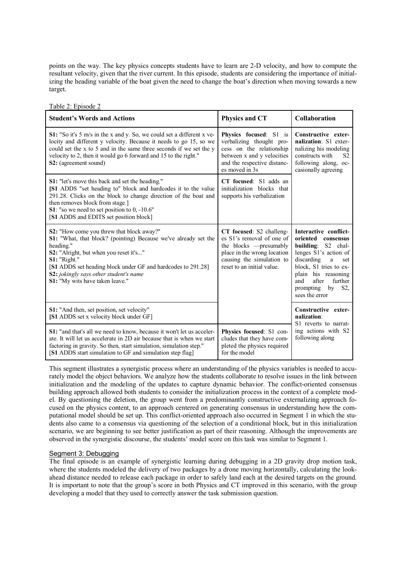points on the way. The key physics concepts students have to learn are 2-D velocity, and how to compute the resultant velocity, given that the river current. In this episode, students are considering the importance of initializing the heading variable of the boat given the need to change the boat's direction when moving towards a new target.

Table 2: Episode 2

| <b>Student's Words and Actions</b>                                                                                                                                                                                                                                                                                                 | <b>Physics and CT</b>                                                                                                                                                      | Collaboration                                                                                                                                                                                                                                              |
|------------------------------------------------------------------------------------------------------------------------------------------------------------------------------------------------------------------------------------------------------------------------------------------------------------------------------------|----------------------------------------------------------------------------------------------------------------------------------------------------------------------------|------------------------------------------------------------------------------------------------------------------------------------------------------------------------------------------------------------------------------------------------------------|
| S1: "So it's 5 m/s in the x and y. So, we could set a different x ve-<br>locity and different y velocity. Because it needs to go 15, so we<br>could set the x to 5 and in the same three seconds if we set the y<br>velocity to 2, then it would go 6 forward and 15 to the right."<br>S2: (agreement sound)                       | Physics focused: S1 is<br>verbalizing thought pro-<br>cess on the relationship<br>between x and y velocities<br>and the respective distanc-<br>es moved in 3s              | Constructive exter-<br>nalization: S1 exter-<br>nalizing his modeling<br>constructs with<br>S <sub>2</sub><br>following along, oc-<br>casionally agreeing                                                                                                  |
| S1: "let's move this back and set the heading."<br>[S1 ADDS "set heading to" block and hardcodes it to the value<br>291.28. Clicks on the block to change direction of the boat and<br>then removes block from stage.]<br>S1: "so we need to set position to 0, -10.6"<br>[S1 ADDS and EDITS set position block]                   | CT focused: S1 adds an<br>initialization blocks that<br>supports his verbalization                                                                                         |                                                                                                                                                                                                                                                            |
| S2: "How come you threw that block away?"<br>S1: "What, that block? (pointing) Because we've already set the<br>heading."<br>S2: "Alright, but when you reset it's"<br>$S1:$ "Right."<br>[S1 ADDS set heading block under GF and hardcodes to 291.28]<br>S2: jokingly says other student's name<br>S1: "My wits have taken leave." | CT focused: S2 challeng-<br>es S1's removal of one of<br>the blocks — presumably<br>place in the wrong location<br>causing the simulation to<br>reset to an initial value. | Interactive conflict-<br>oriented<br>consensus<br>building: S2 chal-<br>lenges S1's action of<br>discarding<br>a<br>set<br>block, S1 tries to ex-<br>plain his reasoning<br>further<br>and<br>after<br>by<br>S <sub>2</sub><br>prompting<br>sees the error |
| S1: "And then, set position, set velocity"<br>[S1 ADDS set x velocity block under GF]                                                                                                                                                                                                                                              |                                                                                                                                                                            | Constructive exter-<br>nalization:<br>S1 reverts to narrat-                                                                                                                                                                                                |
| <b>S1:</b> "and that's all we need to know, because it won't let us acceler-<br>ate. It will let us accelerate in 2D air because that is when we start<br>factoring in gravity. So then, start simulation, simulation step."<br>[S1 ADDS start simulation to GF and simulation step flag]                                          | Physics focused: S1 con-<br>cludes that they have com-<br>pleted the physics required<br>for the model                                                                     | ing actions with S2<br>following along                                                                                                                                                                                                                     |

This segment illustrates a synergistic process where an understanding of the physics variables is needed to accurately model the object behaviors. We analyze how the students collaborate to resolve issues in the link between initialization and the modeling of the updates to capture dynamic behavior. The conflict-oriented consensus building approach allowed both students to consider the initialization process in the context of a complete model. By questioning the deletion, the group went from a predominantly constructive externalizing approach focused on the physics content, to an approach centered on generating consensus in understanding how the computational model should be set up. This conflict-oriented approach also occurred in Segment 1 in which the students also came to a consensus via questioning of the selection of a conditional block, but in this initialization scenario, we are beginning to see better justification as part of their reasoning. Although the improvements are observed in the synergistic discourse, the students' model score on this task was similar to Segment 1.

#### Segment 3: Debugging

The final episode is an example of synergistic learning during debugging in a 2D gravity drop motion task, where the students modeled the delivery of two packages by a drone moving horizontally, calculating the lookahead distance needed to release each package in order to safely land each at the desired targets on the ground. It is important to note that the group's score in both Physics and CT improved in this scenario, with the group developing a model that they used to correctly answer the task submission question.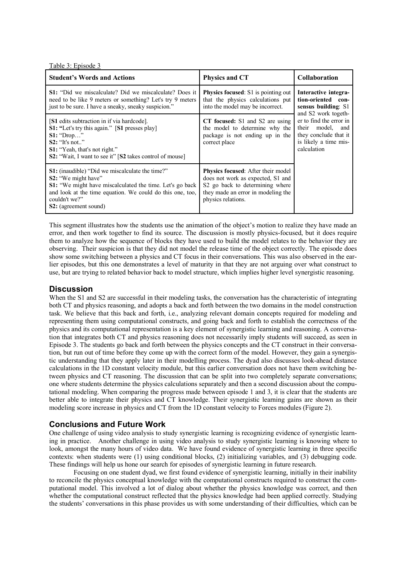Table 3: Episode 3

| <b>Student's Words and Actions</b>                                                                                                                                                                                                                                    | <b>Physics and CT</b>                                                                                                                                                         | <b>Collaboration</b>                                                                                                                                                                                     |
|-----------------------------------------------------------------------------------------------------------------------------------------------------------------------------------------------------------------------------------------------------------------------|-------------------------------------------------------------------------------------------------------------------------------------------------------------------------------|----------------------------------------------------------------------------------------------------------------------------------------------------------------------------------------------------------|
| <b>S1:</b> "Did we miscalculate? Did we miscalculate? Does it<br>need to be like 9 meters or something? Let's try 9 meters<br>just to be sure. I have a sneaky, sneaky suspicion."                                                                                    | <b>Physics focused:</b> S1 is pointing out<br>that the physics calculations put<br>into the model may be incorrect.                                                           | Interactive integra-<br>tion-oriented con-<br>sensus building: S1<br>and S2 work togeth-<br>er to find the error in<br>their model, and<br>they conclude that it<br>is likely a time mis-<br>calculation |
| [S1 edits subtraction in if via hardcode].<br><b>S1:</b> "Let's try this again." [S1 presses play]<br>$S1:$ "Drop"<br>$S2:$ "It's not"<br><b>S1:</b> "Yeah, that's not right."<br><b>S2:</b> "Wait, I want to see it" [S2 takes control of mouse]                     | CT focused: S1 and S2 are using<br>the model to determine why the<br>package is not ending up in the<br>correct place                                                         |                                                                                                                                                                                                          |
| <b>S1:</b> (inaudible) "Did we miscalculate the time?"<br>S <sub>2</sub> : "We might have"<br>S1: "We might have miscalculated the time. Let's go back<br>and look at the time equation. We could do this one, too,<br>couldn't we?"<br><b>S2</b> : (agreement sound) | <b>Physics focused:</b> After their model<br>does not work as expected, S1 and<br>S2 go back to determining where<br>they made an error in modeling the<br>physics relations. |                                                                                                                                                                                                          |

This segment illustrates how the students use the animation of the object's motion to realize they have made an error, and then work together to find its source. The discussion is mostly physics-focused, but it does require them to analyze how the sequence of blocks they have used to build the model relates to the behavior they are observing. Their suspicion is that they did not model the release time of the object correctly. The episode does show some switching between a physics and CT focus in their conversations. This was also observed in the earlier episodes, but this one demonstrates a level of maturity in that they are not arguing over what construct to use, but are trying to related behavior back to model structure, which implies higher level synergistic reasoning.

## **Discussion**

When the S1 and S2 are successful in their modeling tasks, the conversation has the characteristic of integrating both CT and physics reasoning, and adopts a back and forth between the two domains in the model construction task. We believe that this back and forth, i.e., analyzing relevant domain concepts required for modeling and representing them using computational constructs, and going back and forth to establish the correctness of the physics and its computational representation is a key element of synergistic learning and reasoning. A conversation that integrates both CT and physics reasoning does not necessarily imply students will succeed, as seen in Episode 3. The students go back and forth between the physics concepts and the CT construct in their conversation, but run out of time before they come up with the correct form of the model. However, they gain a synergistic understanding that they apply later in their modelling process. The dyad also discusses look-ahead distance calculations in the 1D constant velocity module, but this earlier conversation does not have them switching between physics and CT reasoning. The discussion that can be split into two completely separate conversations; one where students determine the physics calculations separately and then a second discussion about the computational modeling. When comparing the progress made between episode 1 and 3, it is clear that the students are better able to integrate their physics and CT knowledge. Their synergistic learning gains are shown as their modeling score increase in physics and CT from the 1D constant velocity to Forces modules (Figure 2).

## **Conclusions and Future Work**

One challenge of using video analysis to study synergistic learning is recognizing evidence of synergistic learning in practice. Another challenge in using video analysis to study synergistic learning is knowing where to look, amongst the many hours of video data. We have found evidence of synergistic learning in three specific contexts: when students were (1) using conditional blocks, (2) initializing variables, and (3) debugging code. These findings will help us hone our search for episodes of synergistic learning in future research.

Focusing on one student dyad, we first found evidence of synergistic learning, initially in their inability to reconcile the physics conceptual knowledge with the computational constructs required to construct the computational model. This involved a lot of dialog about whether the physics knowledge was correct, and then whether the computational construct reflected that the physics knowledge had been applied correctly. Studying the students' conversations in this phase provides us with some understanding of their difficulties, which can be